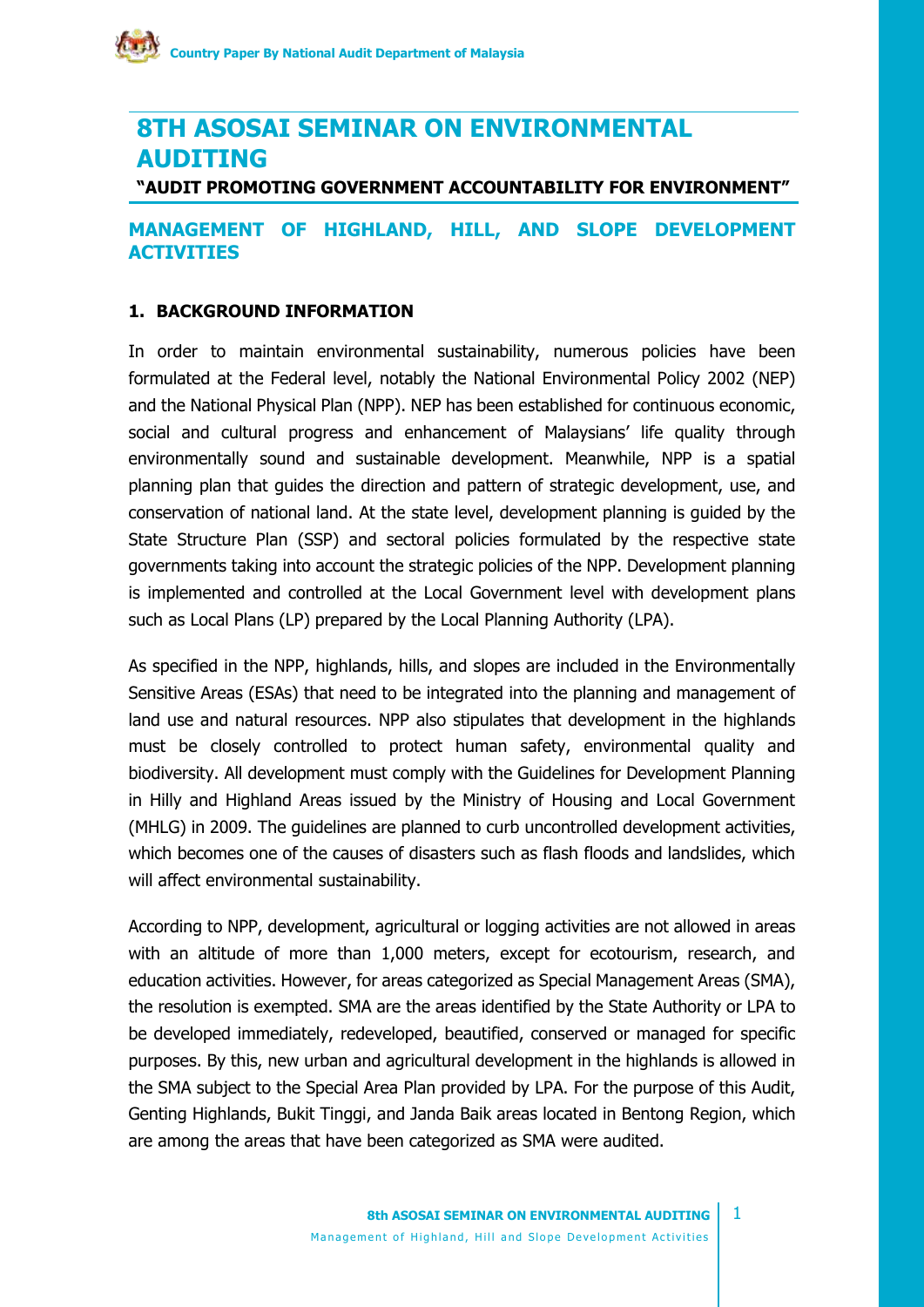# **8TH ASOSAI SEMINAR ON ENVIRONMENTAL AUDITING**

**"AUDIT PROMOTING GOVERNMENT ACCOUNTABILITY FOR ENVIRONMENT"**

## **MANAGEMENT OF HIGHLAND, HILL, AND SLOPE DEVELOPMENT ACTIVITIES**

### **1. BACKGROUND INFORMATION**

In order to maintain environmental sustainability, numerous policies have been formulated at the Federal level, notably the National Environmental Policy 2002 (NEP) and the National Physical Plan (NPP). NEP has been established for continuous economic, social and cultural progress and enhancement of Malaysians' life quality through environmentally sound and sustainable development. Meanwhile, NPP is a spatial planning plan that guides the direction and pattern of strategic development, use, and conservation of national land. At the state level, development planning is guided by the State Structure Plan (SSP) and sectoral policies formulated by the respective state governments taking into account the strategic policies of the NPP. Development planning is implemented and controlled at the Local Government level with development plans such as Local Plans (LP) prepared by the Local Planning Authority (LPA).

As specified in the NPP, highlands, hills, and slopes are included in the Environmentally Sensitive Areas (ESAs) that need to be integrated into the planning and management of land use and natural resources. NPP also stipulates that development in the highlands must be closely controlled to protect human safety, environmental quality and biodiversity. All development must comply with the Guidelines for Development Planning in Hilly and Highland Areas issued by the Ministry of Housing and Local Government (MHLG) in 2009. The guidelines are planned to curb uncontrolled development activities, which becomes one of the causes of disasters such as flash floods and landslides, which will affect environmental sustainability.

According to NPP, development, agricultural or logging activities are not allowed in areas with an altitude of more than 1,000 meters, except for ecotourism, research, and education activities. However, for areas categorized as Special Management Areas (SMA), the resolution is exempted. SMA are the areas identified by the State Authority or LPA to be developed immediately, redeveloped, beautified, conserved or managed for specific purposes. By this, new urban and agricultural development in the highlands is allowed in the SMA subject to the Special Area Plan provided by LPA. For the purpose of this Audit, Genting Highlands, Bukit Tinggi, and Janda Baik areas located in Bentong Region, which are among the areas that have been categorized as SMA were audited.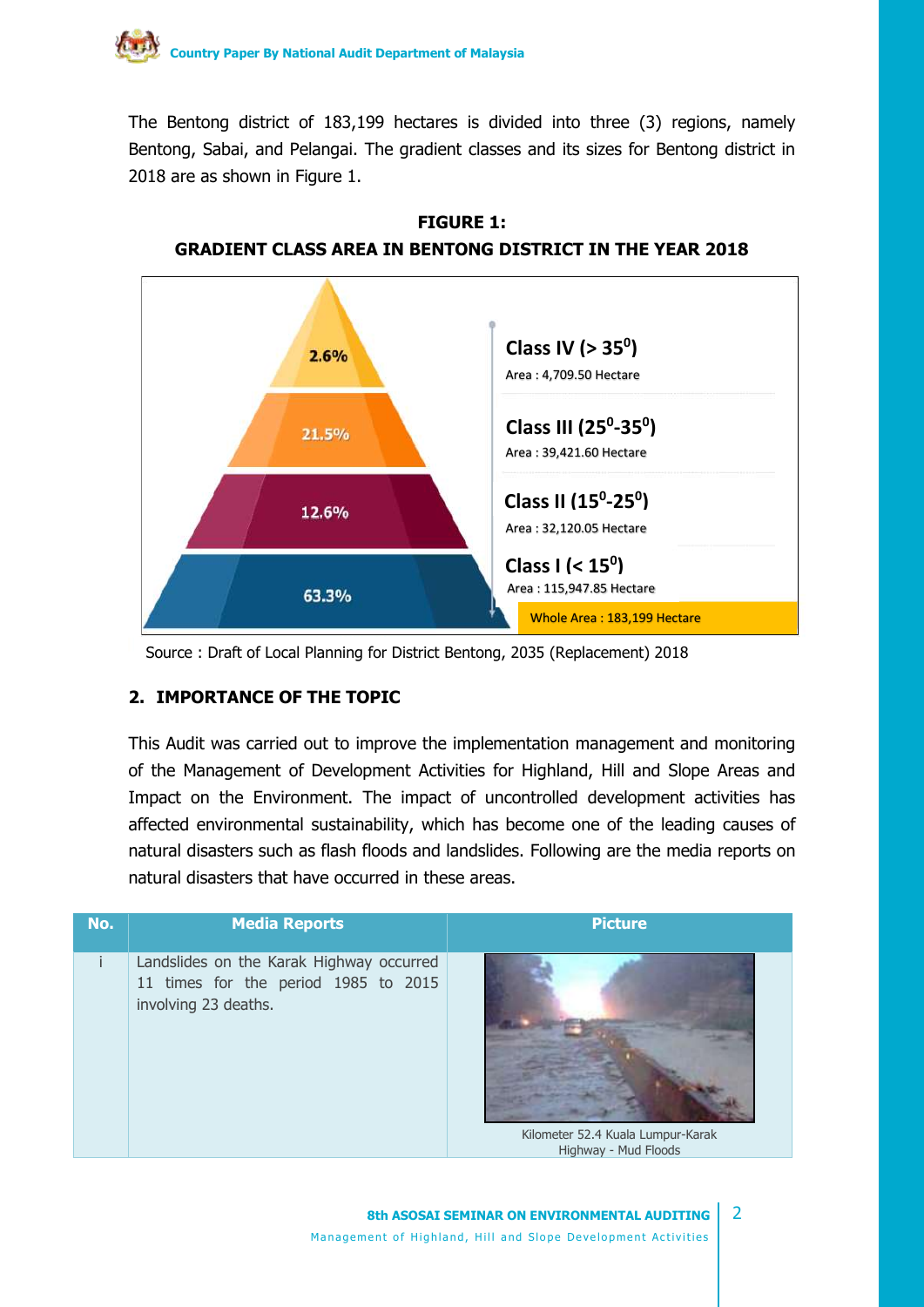

The Bentong district of 183,199 hectares is divided into three (3) regions, namely Bentong, Sabai, and Pelangai. The gradient classes and its sizes for Bentong district in 2018 are as shown in Figure 1.



**FIGURE 1: GRADIENT CLASS AREA IN BENTONG DISTRICT IN THE YEAR 2018**

Source : Draft of Local Planning for District Bentong, 2035 (Replacement) 2018

#### **2. IMPORTANCE OF THE TOPIC**

This Audit was carried out to improve the implementation management and monitoring of the Management of Development Activities for Highland, Hill and Slope Areas and Impact on the Environment. The impact of uncontrolled development activities has affected environmental sustainability, which has become one of the leading causes of natural disasters such as flash floods and landslides. Following are the media reports on natural disasters that have occurred in these areas.

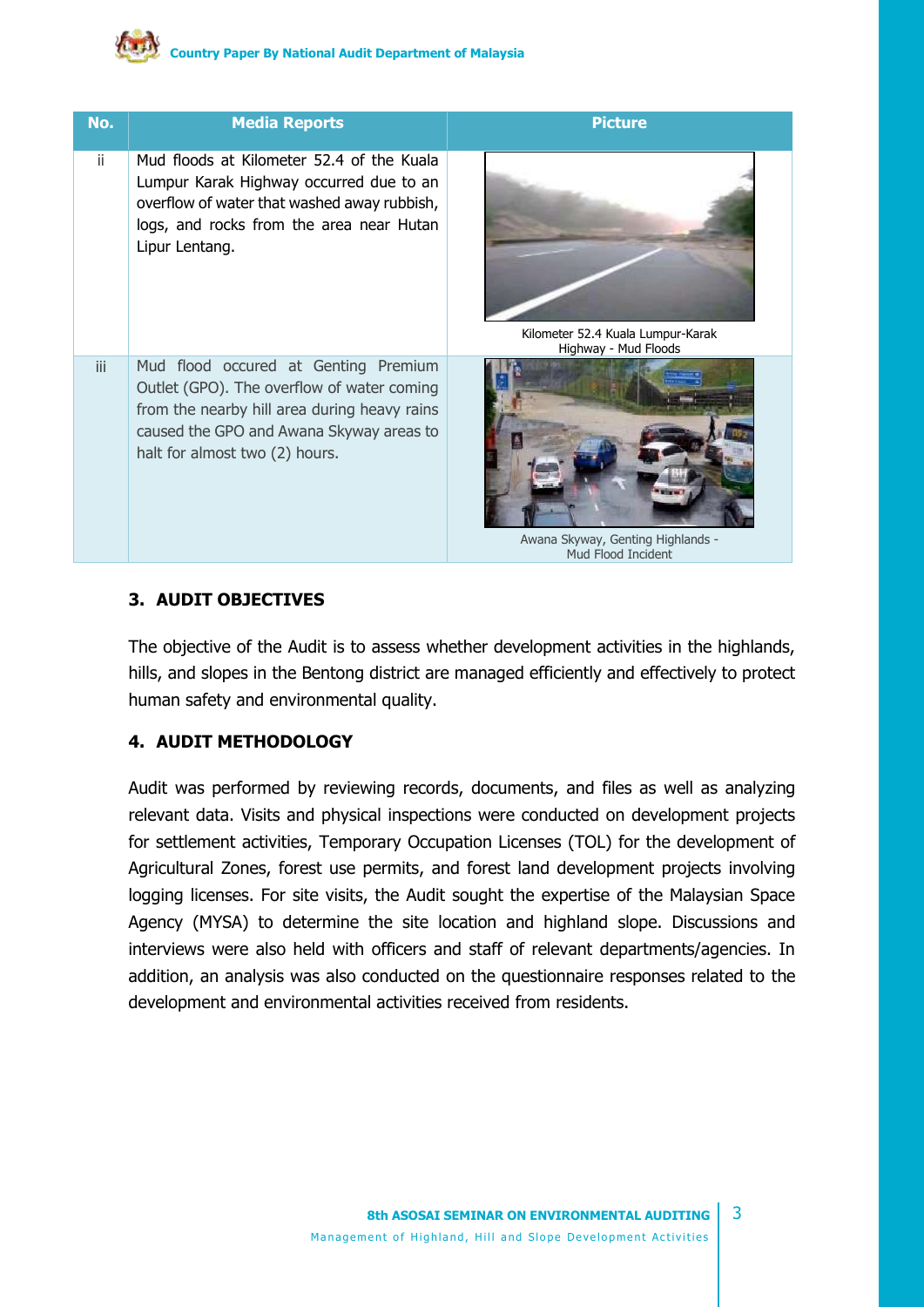| No. | <b>Media Reports</b>                                                                                                                                                                                             | <b>Picture</b>                                                                  |
|-----|------------------------------------------------------------------------------------------------------------------------------------------------------------------------------------------------------------------|---------------------------------------------------------------------------------|
| ji. | Mud floods at Kilometer 52.4 of the Kuala<br>Lumpur Karak Highway occurred due to an<br>overflow of water that washed away rubbish,<br>logs, and rocks from the area near Hutan<br>Lipur Lentang.                | Kilometer 52.4 Kuala Lumpur-Karak                                               |
| iii | Mud flood occured at Genting Premium<br>Outlet (GPO). The overflow of water coming<br>from the nearby hill area during heavy rains<br>caused the GPO and Awana Skyway areas to<br>halt for almost two (2) hours. | Highway - Mud Floods<br>Awana Skyway, Genting Highlands -<br>Mud Flood Incident |

#### **3. AUDIT OBJECTIVES**

The objective of the Audit is to assess whether development activities in the highlands, hills, and slopes in the Bentong district are managed efficiently and effectively to protect human safety and environmental quality.

#### **4. AUDIT METHODOLOGY**

Audit was performed by reviewing records, documents, and files as well as analyzing relevant data. Visits and physical inspections were conducted on development projects for settlement activities, Temporary Occupation Licenses (TOL) for the development of Agricultural Zones, forest use permits, and forest land development projects involving logging licenses. For site visits, the Audit sought the expertise of the Malaysian Space Agency (MYSA) to determine the site location and highland slope. Discussions and interviews were also held with officers and staff of relevant departments/agencies. In addition, an analysis was also conducted on the questionnaire responses related to the development and environmental activities received from residents.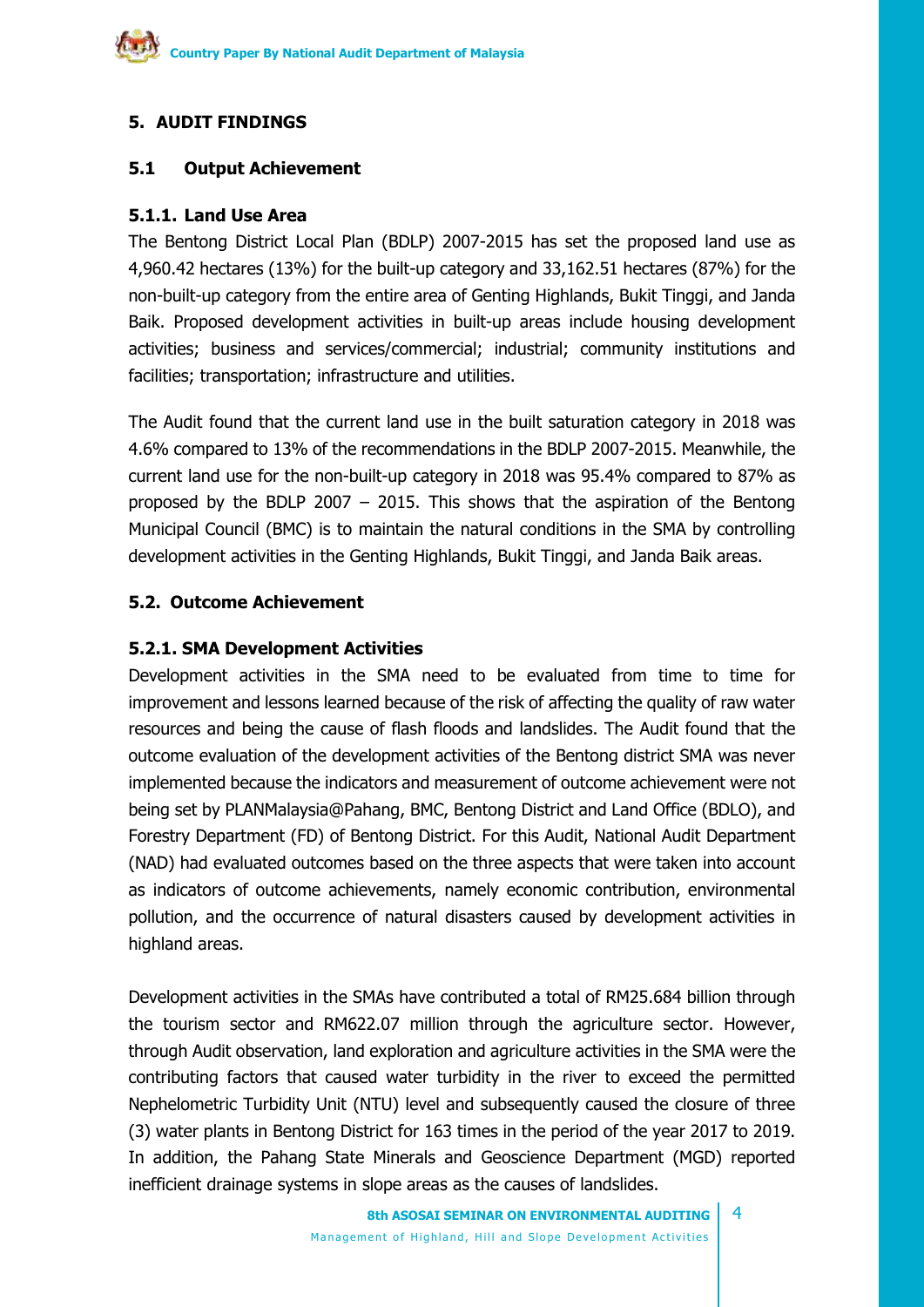# **5. AUDIT FINDINGS**

# **5.1 Output Achievement**

## **5.1.1. Land Use Area**

The Bentong District Local Plan (BDLP) 2007-2015 has set the proposed land use as 4,960.42 hectares (13%) for the built-up category and 33,162.51 hectares (87%) for the non-built-up category from the entire area of Genting Highlands, Bukit Tinggi, and Janda Baik. Proposed development activities in built-up areas include housing development activities; business and services/commercial; industrial; community institutions and facilities; transportation; infrastructure and utilities.

The Audit found that the current land use in the built saturation category in 2018 was 4.6% compared to 13% of the recommendations in the BDLP 2007-2015. Meanwhile, the current land use for the non-built-up category in 2018 was 95.4% compared to 87% as proposed by the BDLP 2007 – 2015. This shows that the aspiration of the Bentong Municipal Council (BMC) is to maintain the natural conditions in the SMA by controlling development activities in the Genting Highlands, Bukit Tinggi, and Janda Baik areas.

## **5.2. Outcome Achievement**

## **5.2.1. SMA Development Activities**

Development activities in the SMA need to be evaluated from time to time for improvement and lessons learned because of the risk of affecting the quality of raw water resources and being the cause of flash floods and landslides. The Audit found that the outcome evaluation of the development activities of the Bentong district SMA was never implemented because the indicators and measurement of outcome achievement were not being set by PLANMalaysia@Pahang, BMC, Bentong District and Land Office (BDLO), and Forestry Department (FD) of Bentong District. For this Audit, National Audit Department (NAD) had evaluated outcomes based on the three aspects that were taken into account as indicators of outcome achievements, namely economic contribution, environmental pollution, and the occurrence of natural disasters caused by development activities in highland areas.

Development activities in the SMAs have contributed a total of RM25.684 billion through the tourism sector and RM622.07 million through the agriculture sector. However, through Audit observation, land exploration and agriculture activities in the SMA were the contributing factors that caused water turbidity in the river to exceed the permitted Nephelometric Turbidity Unit (NTU) level and subsequently caused the closure of three (3) water plants in Bentong District for 163 times in the period of the year 2017 to 2019. In addition, the Pahang State Minerals and Geoscience Department (MGD) reported inefficient drainage systems in slope areas as the causes of landslides.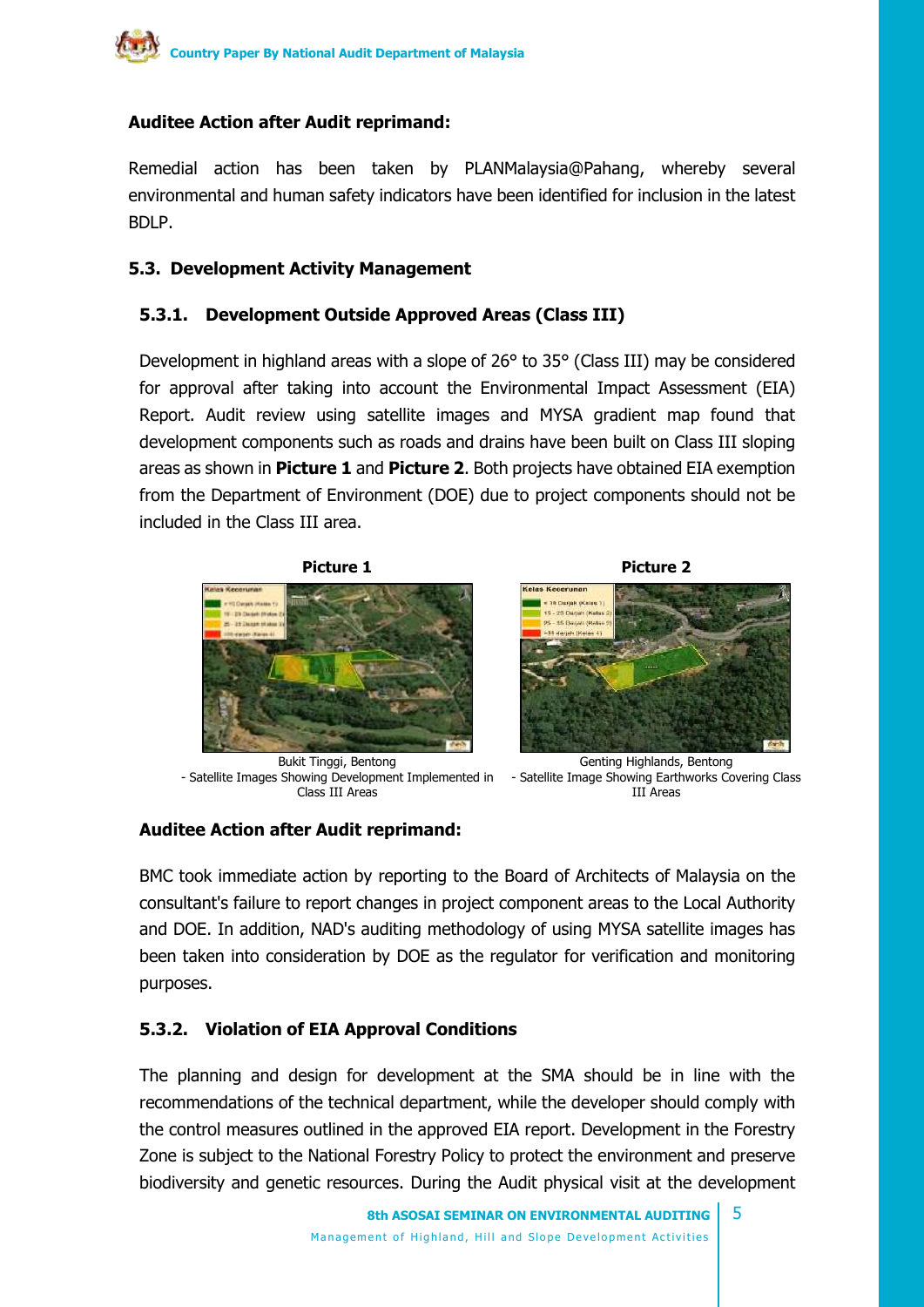# **Auditee Action after Audit reprimand:**

Remedial action has been taken by PLANMalaysia@Pahang, whereby several environmental and human safety indicators have been identified for inclusion in the latest BDLP.

#### **5.3. Development Activity Management**

#### **5.3.1. Development Outside Approved Areas (Class III)**

Development in highland areas with a slope of 26° to 35° (Class III) may be considered for approval after taking into account the Environmental Impact Assessment (EIA) Report. Audit review using satellite images and MYSA gradient map found that development components such as roads and drains have been built on Class III sloping areas as shown in **Picture 1** and **Picture 2**. Both projects have obtained EIA exemption from the Department of Environment (DOE) due to project components should not be included in the Class III area.





Bukit Tinggi, Bentong - Satellite Images Showing Development Implemented in Class III Areas



#### **Auditee Action after Audit reprimand:**

BMC took immediate action by reporting to the Board of Architects of Malaysia on the consultant's failure to report changes in project component areas to the Local Authority and DOE. In addition, NAD's auditing methodology of using MYSA satellite images has been taken into consideration by DOE as the regulator for verification and monitoring purposes.

# **5.3.2. Violation of EIA Approval Conditions**

The planning and design for development at the SMA should be in line with the recommendations of the technical department, while the developer should comply with the control measures outlined in the approved EIA report. Development in the Forestry Zone is subject to the National Forestry Policy to protect the environment and preserve biodiversity and genetic resources. During the Audit physical visit at the development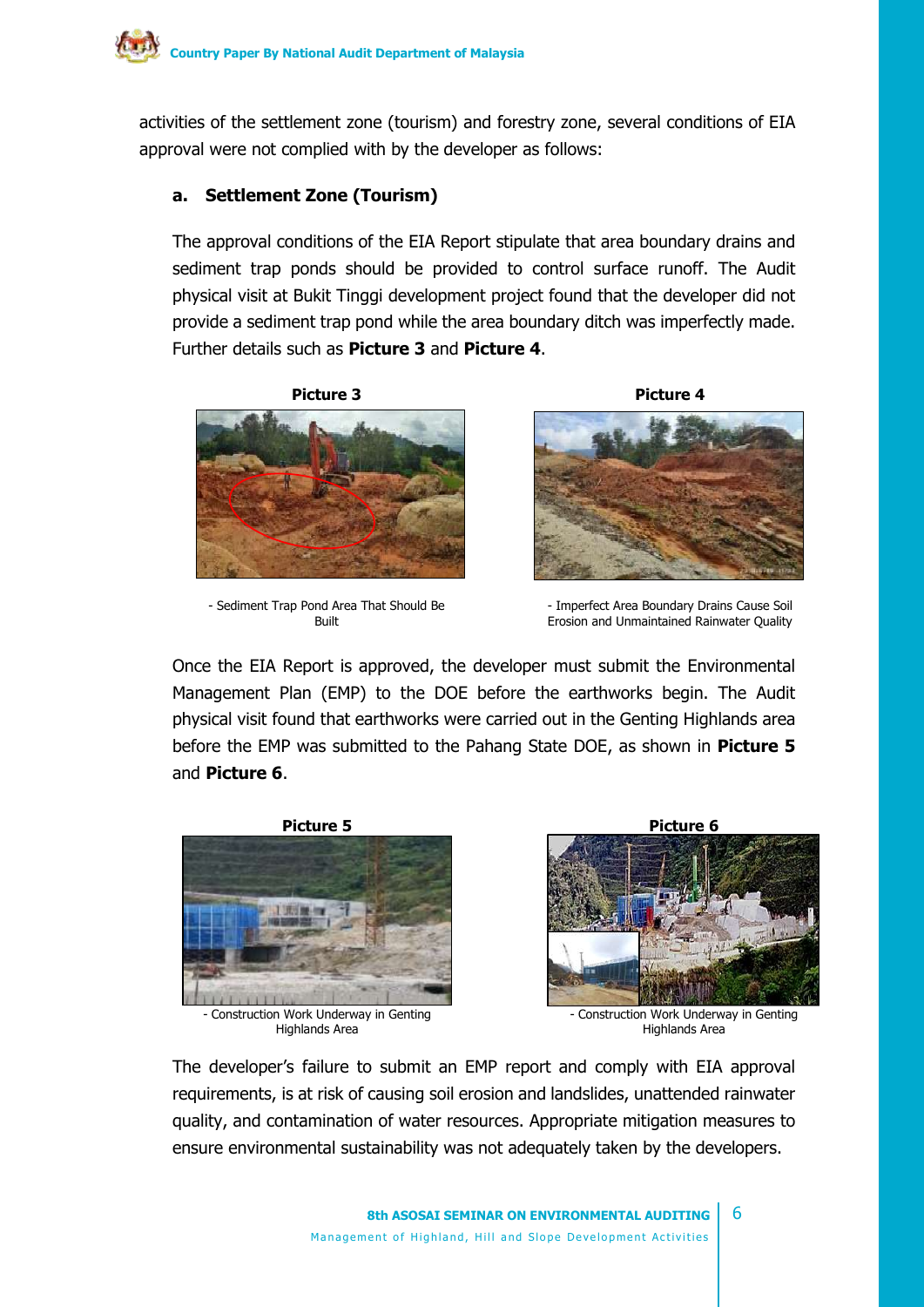activities of the settlement zone (tourism) and forestry zone, several conditions of EIA approval were not complied with by the developer as follows:

#### **a. Settlement Zone (Tourism)**

The approval conditions of the EIA Report stipulate that area boundary drains and sediment trap ponds should be provided to control surface runoff. The Audit physical visit at Bukit Tinggi development project found that the developer did not provide a sediment trap pond while the area boundary ditch was imperfectly made. Further details such as **Picture 3** and **Picture 4**.



- Sediment Trap Pond Area That Should Be Built



- Imperfect Area Boundary Drains Cause Soil Erosion and Unmaintained Rainwater Quality

Once the EIA Report is approved, the developer must submit the Environmental Management Plan (EMP) to the DOE before the earthworks begin. The Audit physical visit found that earthworks were carried out in the Genting Highlands area before the EMP was submitted to the Pahang State DOE, as shown in **Picture 5** and **Picture 6**.



- Construction Work Underway in Genting Highlands Area



- Construction Work Underway in Genting Highlands Area

The developer's failure to submit an EMP report and comply with EIA approval requirements, is at risk of causing soil erosion and landslides, unattended rainwater quality, and contamination of water resources. Appropriate mitigation measures to ensure environmental sustainability was not adequately taken by the developers.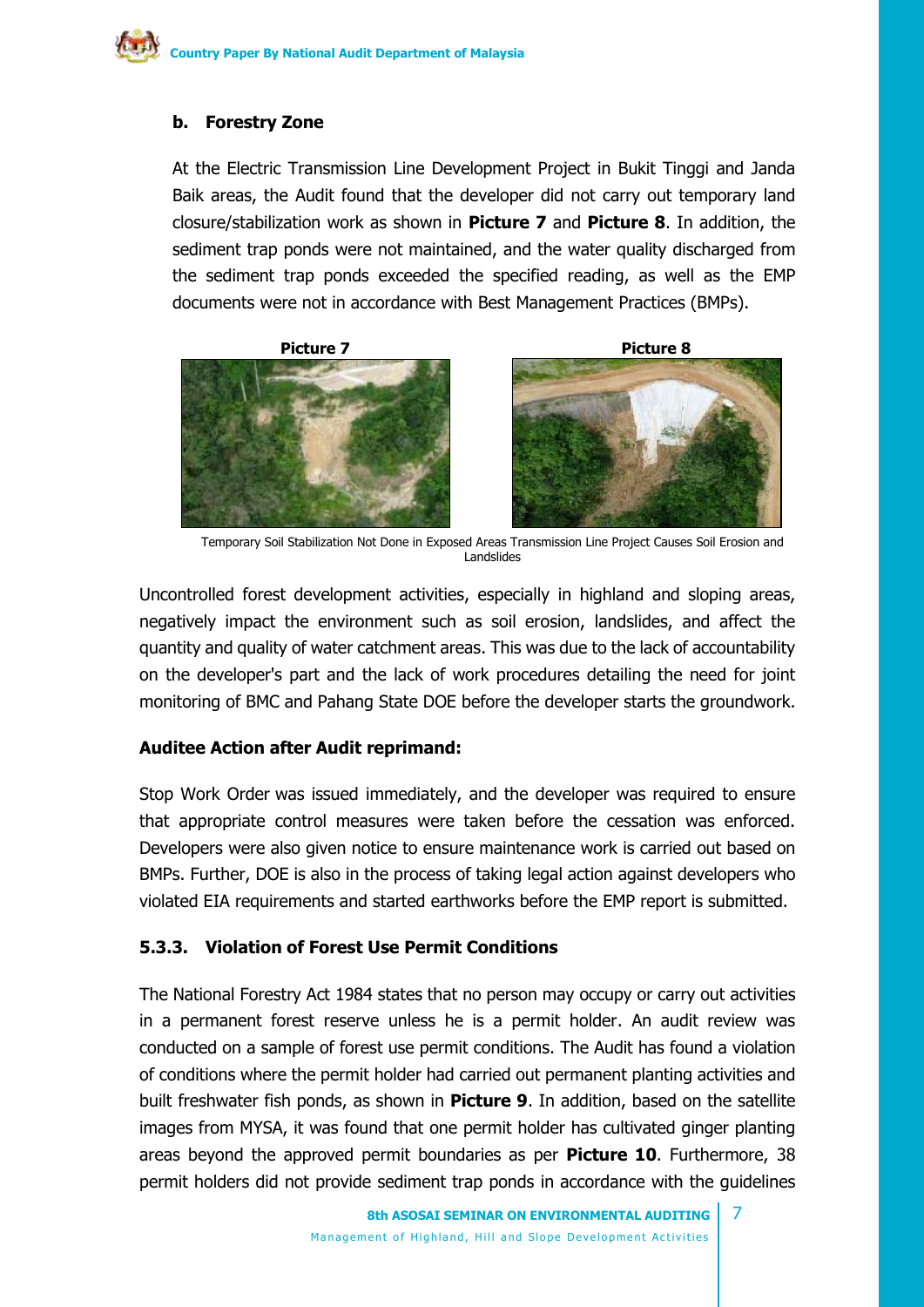### **b. Forestry Zone**

At the Electric Transmission Line Development Project in Bukit Tinggi and Janda Baik areas, the Audit found that the developer did not carry out temporary land closure/stabilization work as shown in **Picture 7** and **Picture 8**. In addition, the sediment trap ponds were not maintained, and the water quality discharged from the sediment trap ponds exceeded the specified reading, as well as the EMP documents were not in accordance with Best Management Practices (BMPs).





Temporary Soil Stabilization Not Done in Exposed Areas Transmission Line Project Causes Soil Erosion and Landslides

Uncontrolled forest development activities, especially in highland and sloping areas, negatively impact the environment such as soil erosion, landslides, and affect the quantity and quality of water catchment areas. This was due to the lack of accountability on the developer's part and the lack of work procedures detailing the need for joint monitoring of BMC and Pahang State DOE before the developer starts the groundwork.

#### **Auditee Action after Audit reprimand:**

Stop Work Order was issued immediately, and the developer was required to ensure that appropriate control measures were taken before the cessation was enforced. Developers were also given notice to ensure maintenance work is carried out based on BMPs. Further, DOE is also in the process of taking legal action against developers who violated EIA requirements and started earthworks before the EMP report is submitted.

# **5.3.3. Violation of Forest Use Permit Conditions**

The National Forestry Act 1984 states that no person may occupy or carry out activities in a permanent forest reserve unless he is a permit holder. An audit review was conducted on a sample of forest use permit conditions. The Audit has found a violation of conditions where the permit holder had carried out permanent planting activities and built freshwater fish ponds, as shown in **Picture 9**. In addition, based on the satellite images from MYSA, it was found that one permit holder has cultivated ginger planting areas beyond the approved permit boundaries as per **Picture 10**. Furthermore, 38 permit holders did not provide sediment trap ponds in accordance with the guidelines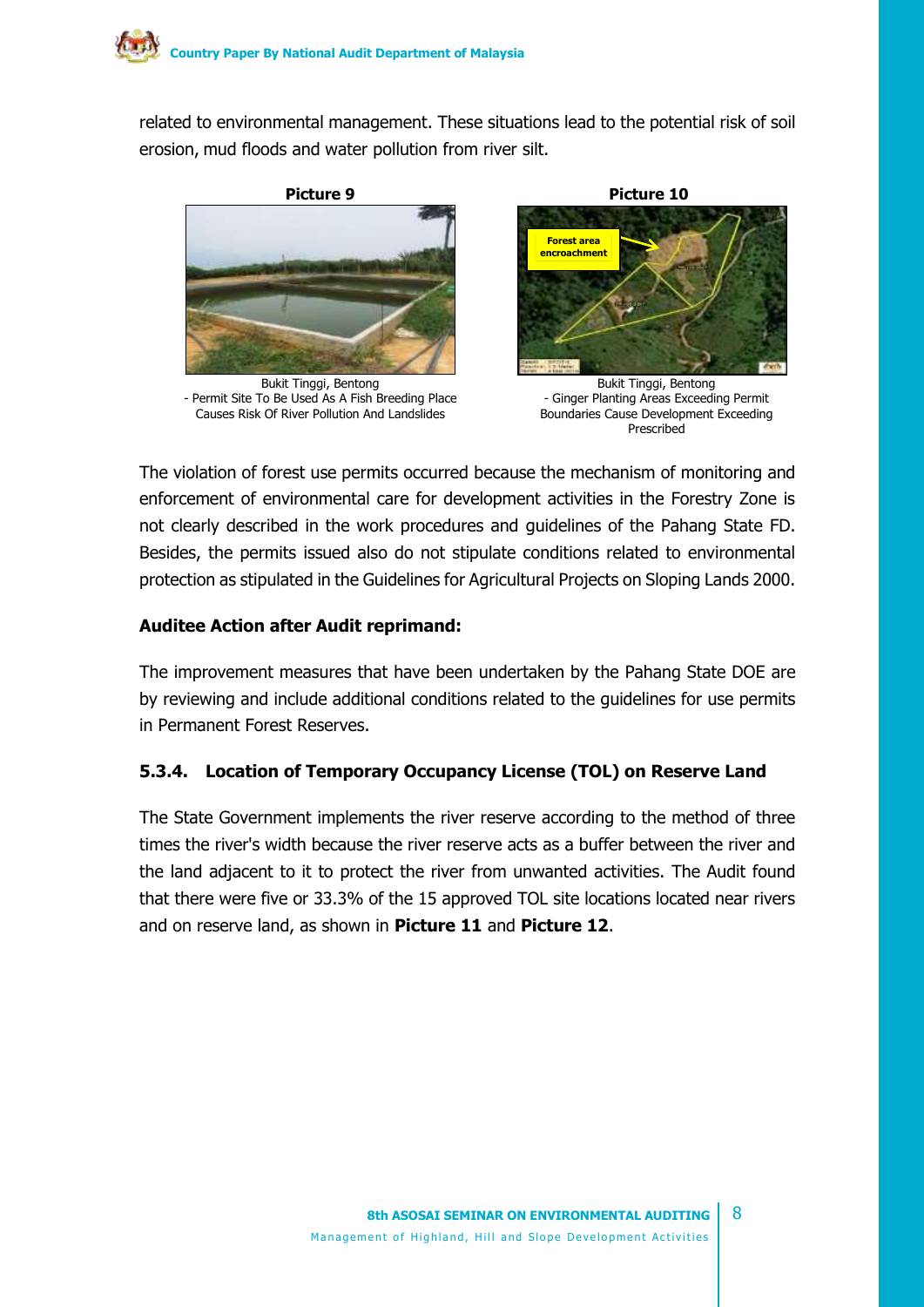related to environmental management. These situations lead to the potential risk of soil erosion, mud floods and water pollution from river silt.



Bukit Tinggi, Bentong - Permit Site To Be Used As A Fish Breeding Place Causes Risk Of River Pollution And Landslides



Bukit Tinggi, Bentong - Ginger Planting Areas Exceeding Permit Boundaries Cause Development Exceeding Prescribed

The violation of forest use permits occurred because the mechanism of monitoring and enforcement of environmental care for development activities in the Forestry Zone is not clearly described in the work procedures and guidelines of the Pahang State FD. Besides, the permits issued also do not stipulate conditions related to environmental protection as stipulated in the Guidelines for Agricultural Projects on Sloping Lands 2000.

## **Auditee Action after Audit reprimand:**

The improvement measures that have been undertaken by the Pahang State DOE are by reviewing and include additional conditions related to the guidelines for use permits in Permanent Forest Reserves.

# **5.3.4. Location of Temporary Occupancy License (TOL) on Reserve Land**

The State Government implements the river reserve according to the method of three times the river's width because the river reserve acts as a buffer between the river and the land adjacent to it to protect the river from unwanted activities. The Audit found that there were five or 33.3% of the 15 approved TOL site locations located near rivers and on reserve land, as shown in **Picture 11** and **Picture 12**.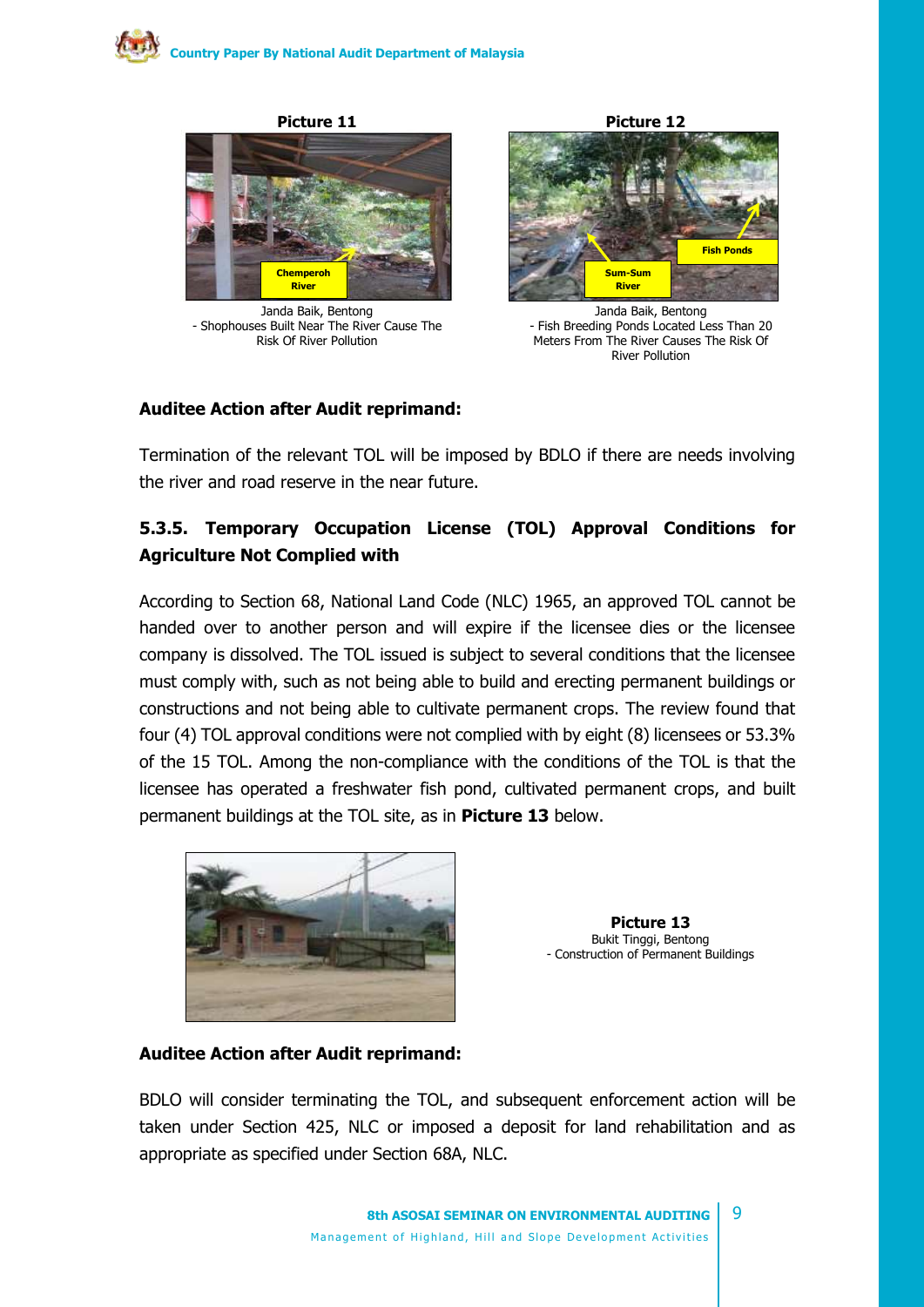

Janda Baik, Bentong - Shophouses Built Near The River Cause The Risk Of River Pollution



Janda Baik, Bentong - Fish Breeding Ponds Located Less Than 20 Meters From The River Causes The Risk Of River Pollution

#### **Auditee Action after Audit reprimand:**

Termination of the relevant TOL will be imposed by BDLO if there are needs involving the river and road reserve in the near future.

# **5.3.5. Temporary Occupation License (TOL) Approval Conditions for Agriculture Not Complied with**

According to Section 68, National Land Code (NLC) 1965, an approved TOL cannot be handed over to another person and will expire if the licensee dies or the licensee company is dissolved. The TOL issued is subject to several conditions that the licensee must comply with, such as not being able to build and erecting permanent buildings or constructions and not being able to cultivate permanent crops. The review found that four (4) TOL approval conditions were not complied with by eight (8) licensees or 53.3% of the 15 TOL. Among the non-compliance with the conditions of the TOL is that the licensee has operated a freshwater fish pond, cultivated permanent crops, and built permanent buildings at the TOL site, as in **Picture 13** below.



**Picture 13** Bukit Tinggi, Bentong - Construction of Permanent Buildings

#### **Auditee Action after Audit reprimand:**

BDLO will consider terminating the TOL, and subsequent enforcement action will be taken under Section 425, NLC or imposed a deposit for land rehabilitation and as appropriate as specified under Section 68A, NLC.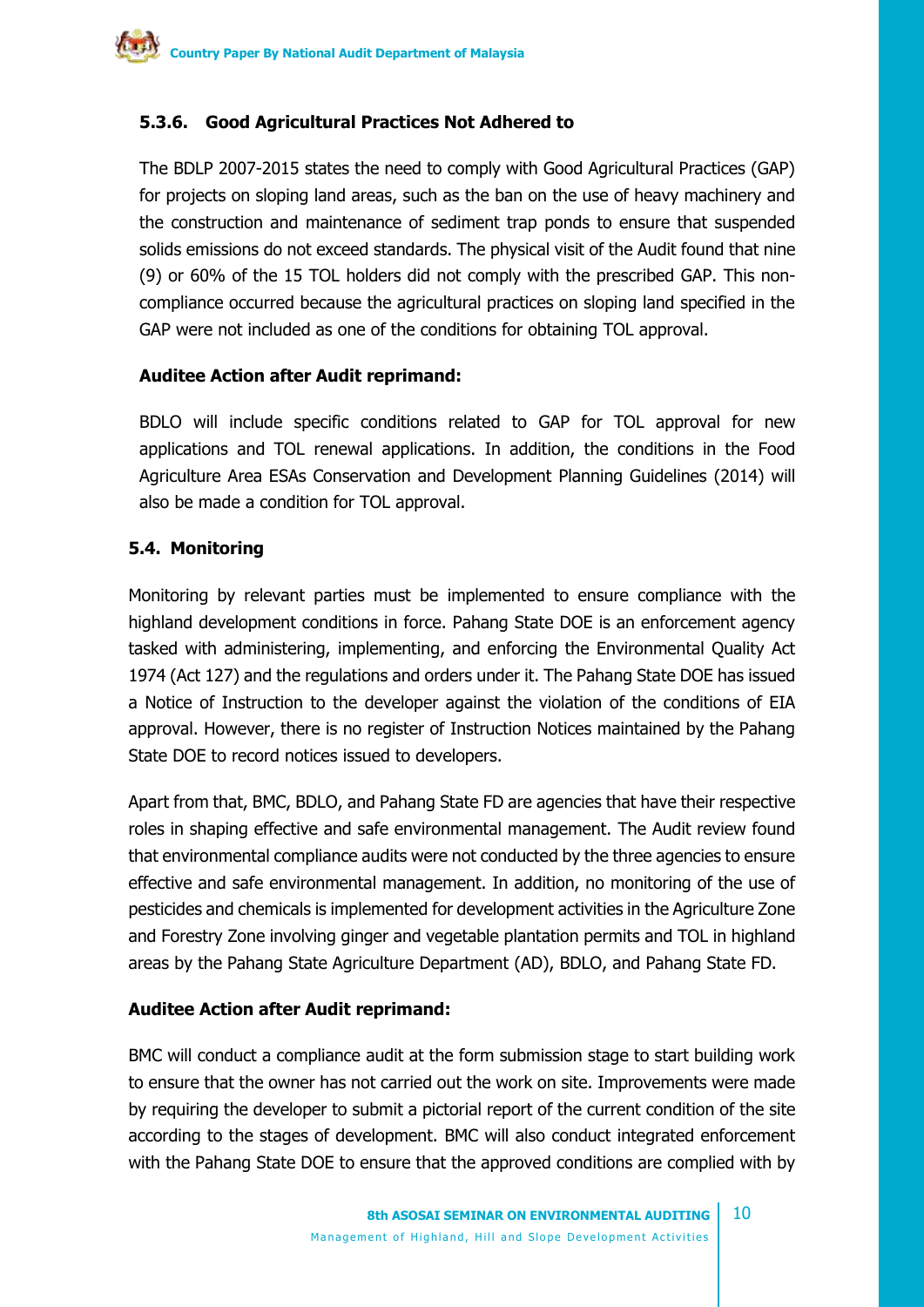# **5.3.6. Good Agricultural Practices Not Adhered to**

The BDLP 2007-2015 states the need to comply with Good Agricultural Practices (GAP) for projects on sloping land areas, such as the ban on the use of heavy machinery and the construction and maintenance of sediment trap ponds to ensure that suspended solids emissions do not exceed standards. The physical visit of the Audit found that nine (9) or 60% of the 15 TOL holders did not comply with the prescribed GAP. This noncompliance occurred because the agricultural practices on sloping land specified in the GAP were not included as one of the conditions for obtaining TOL approval.

#### **Auditee Action after Audit reprimand:**

BDLO will include specific conditions related to GAP for TOL approval for new applications and TOL renewal applications. In addition, the conditions in the Food Agriculture Area ESAs Conservation and Development Planning Guidelines (2014) will also be made a condition for TOL approval.

## **5.4. Monitoring**

Monitoring by relevant parties must be implemented to ensure compliance with the highland development conditions in force. Pahang State DOE is an enforcement agency tasked with administering, implementing, and enforcing the Environmental Quality Act 1974 (Act 127) and the regulations and orders under it. The Pahang State DOE has issued a Notice of Instruction to the developer against the violation of the conditions of EIA approval. However, there is no register of Instruction Notices maintained by the Pahang State DOE to record notices issued to developers.

Apart from that, BMC, BDLO, and Pahang State FD are agencies that have their respective roles in shaping effective and safe environmental management. The Audit review found that environmental compliance audits were not conducted by the three agencies to ensure effective and safe environmental management. In addition, no monitoring of the use of pesticides and chemicals is implemented for development activities in the Agriculture Zone and Forestry Zone involving ginger and vegetable plantation permits and TOL in highland areas by the Pahang State Agriculture Department (AD), BDLO, and Pahang State FD.

# **Auditee Action after Audit reprimand:**

BMC will conduct a compliance audit at the form submission stage to start building work to ensure that the owner has not carried out the work on site. Improvements were made by requiring the developer to submit a pictorial report of the current condition of the site according to the stages of development. BMC will also conduct integrated enforcement with the Pahang State DOE to ensure that the approved conditions are complied with by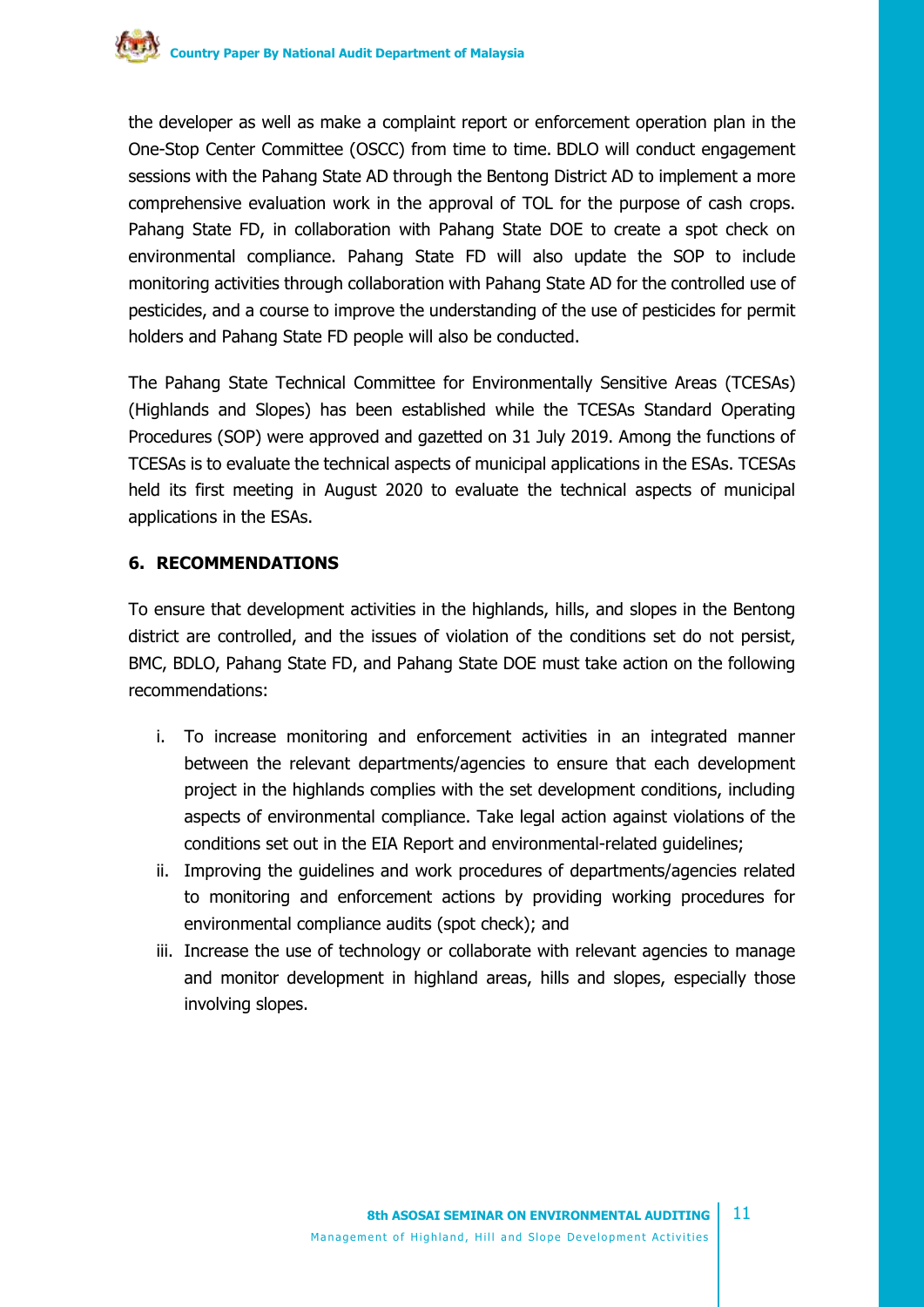

the developer as well as make a complaint report or enforcement operation plan in the One-Stop Center Committee (OSCC) from time to time. BDLO will conduct engagement sessions with the Pahang State AD through the Bentong District AD to implement a more comprehensive evaluation work in the approval of TOL for the purpose of cash crops. Pahang State FD, in collaboration with Pahang State DOE to create a spot check on environmental compliance. Pahang State FD will also update the SOP to include monitoring activities through collaboration with Pahang State AD for the controlled use of pesticides, and a course to improve the understanding of the use of pesticides for permit holders and Pahang State FD people will also be conducted.

The Pahang State Technical Committee for Environmentally Sensitive Areas (TCESAs) (Highlands and Slopes) has been established while the TCESAs Standard Operating Procedures (SOP) were approved and gazetted on 31 July 2019. Among the functions of TCESAs is to evaluate the technical aspects of municipal applications in the ESAs. TCESAs held its first meeting in August 2020 to evaluate the technical aspects of municipal applications in the ESAs.

#### **6. RECOMMENDATIONS**

To ensure that development activities in the highlands, hills, and slopes in the Bentong district are controlled, and the issues of violation of the conditions set do not persist, BMC, BDLO, Pahang State FD, and Pahang State DOE must take action on the following recommendations:

- i. To increase monitoring and enforcement activities in an integrated manner between the relevant departments/agencies to ensure that each development project in the highlands complies with the set development conditions, including aspects of environmental compliance. Take legal action against violations of the conditions set out in the EIA Report and environmental-related guidelines;
- ii. Improving the guidelines and work procedures of departments/agencies related to monitoring and enforcement actions by providing working procedures for environmental compliance audits (spot check); and
- iii. Increase the use of technology or collaborate with relevant agencies to manage and monitor development in highland areas, hills and slopes, especially those involving slopes.